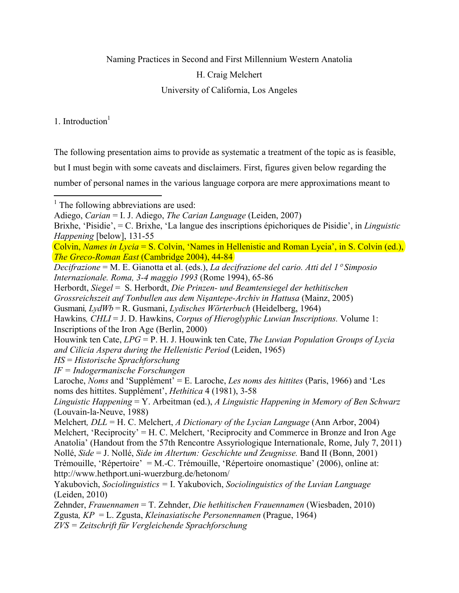Naming Practices in Second and First Millennium Western Anatolia

H. Craig Melchert

University of California, Los Angeles

1. Introduction $<sup>1</sup>$ </sup>

The following presentation aims to provide as systematic a treatment of the topic as is feasible,

but I must begin with some caveats and disclaimers. First, figures given below regarding the

number of personal names in the various language corpora are mere approximations meant to

 $\overline{a}$ <sup>1</sup> The following abbreviations are used:

Adiego, *Carian* = I. J. Adiego, *The Carian Language* (Leiden, 2007)

Brixhe, 'Pisidie', = C. Brixhe, 'La langue des inscriptions épichoriques de Pisidie', in *Linguistic Happening* [below], 131-55

Colvin, *Names in Lycia* = S. Colvin, 'Names in Hellenistic and Roman Lycia', in S. Colvin (ed.), *The Greco-Roman East* (Cambridge 2004), 44-84

*Decifrazione* = M. E. Gianotta et al. (eds.), *La decifrazione del cario. Atti del 1*° *Simposio Internazionale. Roma, 3-4 maggio 1993* (Rome 1994), 65-86

Herbordt, *Siegel* = S. Herbordt, *Die Prinzen- und Beamtensiegel der hethitischen* 

*Grossreichszeit auf Tonbullen aus dem Nişantepe-Archiv in Hattusa* (Mainz, 2005)

Gusmani*, LydWb* = R. Gusmani, *Lydisches Wörterbuch* (Heidelberg, 1964)

Hawkins*, CHLI* = J. D. Hawkins, *Corpus of Hieroglyphic Luwian Inscriptions.* Volume 1: Inscriptions of the Iron Age (Berlin, 2000)

Houwink ten Cate, *LPG* = P. H. J. Houwink ten Cate, *The Luwian Population Groups of Lycia and Cilicia Aspera during the Hellenistic Period* (Leiden, 1965)

*HS* = *Historische Sprachforschung* 

*IF = Indogermanische Forschungen* 

Laroche, *Noms* and 'Supplément' = E. Laroche, *Les noms des hittites* (Paris, 1966) and 'Les noms des hittites. Supplément', *Hethitica* 4 (1981), 3-58

*Linguistic Happening* = Y. Arbeitman (ed.), *A Linguistic Happening in Memory of Ben Schwarz* (Louvain-la-Neuve, 1988)

Melchert*, DLL* = H. C. Melchert, *A Dictionary of the Lycian Language* (Ann Arbor, 2004) Melchert, 'Reciprocity' = H. C. Melchert, 'Reciprocity and Commerce in Bronze and Iron Age Anatolia' (Handout from the 57th Rencontre Assyriologique Internationale, Rome, July 7, 2011) Nollé, *Side* = J. Nollé, *Side im Altertum: Geschichte und Zeugnisse.* Band II (Bonn, 2001) Trémouille, 'Répertoire' = M.-C. Trémouille, 'Répertoire onomastique' (2006), online at: http://www.hethport.uni-wuerzburg.de/hetonom/

Yakubovich, *Sociolinguistics =* I. Yakubovich, *Sociolinguistics of the Luvian Language*  (Leiden, 2010)

Zehnder, *Frauennamen* = T. Zehnder, *Die hethitischen Frauennamen* (Wiesbaden, 2010) Zgusta*, KP* = L. Zgusta, *Kleinasiatische Personennamen* (Prague, 1964) *ZVS = Zeitschrift für Vergleichende Sprachforschung*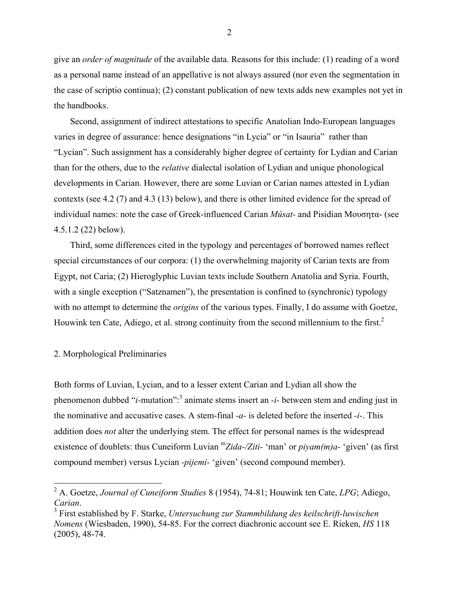give an *order of magnitude* of the available data. Reasons for this include: (1) reading of a word as a personal name instead of an appellative is not always assured (nor even the segmentation in the case of scriptio continua); (2) constant publication of new texts adds new examples not yet in the handbooks.

Second, assignment of indirect attestations to specific Anatolian Indo-European languages varies in degree of assurance: hence designations "in Lycia" or "in Isauria" rather than "Lycian". Such assignment has a considerably higher degree of certainty for Lydian and Carian than for the others, due to the *relative* dialectal isolation of Lydian and unique phonological developments in Carian. However, there are some Luvian or Carian names attested in Lydian contexts (see 4.2 (7) and 4.3 (13) below), and there is other limited evidence for the spread of individual names: note the case of Greek-influenced Carian *Músat-* and Pisidian Μουσητα- (see 4.5.1.2 (22) below).

Third, some differences cited in the typology and percentages of borrowed names reflect special circumstances of our corpora: (1) the overwhelming majority of Carian texts are from Egypt, not Caria; (2) Hieroglyphic Luvian texts include Southern Anatolia and Syria. Fourth, with a single exception ("Satznamen"), the presentation is confined to (synchronic) typology with no attempt to determine the *origins* of the various types. Finally, I do assume with Goetze, Houwink ten Cate, Adiego, et al. strong continuity from the second millennium to the first.<sup>2</sup>

### 2. Morphological Preliminaries

Both forms of Luvian, Lycian, and to a lesser extent Carian and Lydian all show the phenomenon dubbed "*i*-mutation":<sup>3</sup> animate stems insert an *-i*- between stem and ending just in the nominative and accusative cases. A stem-final *-a-* is deleted before the inserted *-i-*. This addition does *not* alter the underlying stem. The effect for personal names is the widespread existence of doublets: thus Cuneiform Luvian <sup>m</sup>*Zida-/Ziti-* 'man' or *piyam(m)a-* 'given' (as first compound member) versus Lycian *-pijemi-* 'given' (second compound member).

 2 A. Goetze, *Journal of Cuneiform Studies* 8 (1954), 74-81; Houwink ten Cate, *LPG*; Adiego, Carian.

First established by F. Starke, *Untersuchung zur Stammbildung des keilschrift-luwischen Nomens* (Wiesbaden, 1990), 54-85. For the correct diachronic account see E. Rieken, *HS* 118 (2005), 48-74.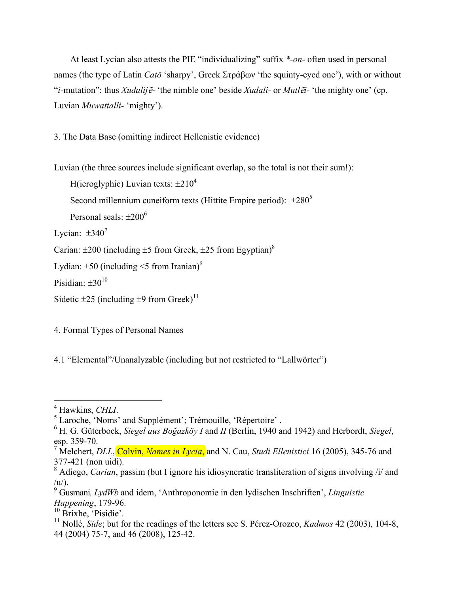At least Lycian also attests the PIE "individualizing" suffix *\*-on-* often used in personal names (the type of Latin *Catō* 'sharpy', Greek Στράβων 'the squinty-eyed one'), with or without "*i-*mutation": thus *Xudalij*<sup>ẽ</sup>- 'the nimble one' beside *Xudali-* or *Mutl*ẽ*i-* 'the mighty one' (cp. Luvian *Muwattalli-* 'mighty').

3. The Data Base (omitting indirect Hellenistic evidence)

Luvian (the three sources include significant overlap, so the total is not their sum!):

```
H(ieroglyphic) Luvian texts: \pm 210^4
```
Second millennium cuneiform texts (Hittite Empire period):  $\pm 280^5$ 

Personal seals:  $\pm 200^6$ 

Lycian:  $\pm 340^7$ 

Carian:  $\pm 200$  (including  $\pm 5$  from Greek,  $\pm 25$  from Egyptian)<sup>8</sup>

```
Lydian: \pm 50 (including <5 from Iranian)<sup>9</sup>
```
Pisidian:  $+30^{10}$ 

Sidetic  $\pm 25$  (including  $\pm 9$  from Greek)<sup>11</sup>

4. Formal Types of Personal Names

4.1 "Elemental"/Unanalyzable (including but not restricted to "Lallwörter")

<sup>&</sup>lt;sup>4</sup> Hawkins, *CHLI*.

Laroche, 'Noms' and Supplément'; Trémouille, 'Répertoire' .

<sup>6</sup> H. G. Güterbock, *Siegel aus Boğazköy I* and *II* (Berlin, 1940 and 1942) and Herbordt, *Siegel*, esp. 359-70.

<sup>&</sup>lt;sup>7</sup> Melchert, *DLL*, Colvin, *Names in Lycia*, and N. Cau, *Studi Ellenistici* 16 (2005), 345-76 and 377-421 (non uidi).

<sup>&</sup>lt;sup>8</sup> Adiego, *Carian*, passim (but I ignore his idiosyncratic transliteration of signs involving /i/ and  $\langle u \rangle$ .

<sup>9</sup> Gusmani*, LydWb* and idem, 'Anthroponomie in den lydischen Inschriften', *Linguistic Happening*, 179-96.

 $10$  Brixhe, 'Pisidie'.

<sup>11</sup> Nollé, *Side*; but for the readings of the letters see S. Pérez-Orozco, *Kadmos* 42 (2003), 104-8, 44 (2004) 75-7, and 46 (2008), 125-42.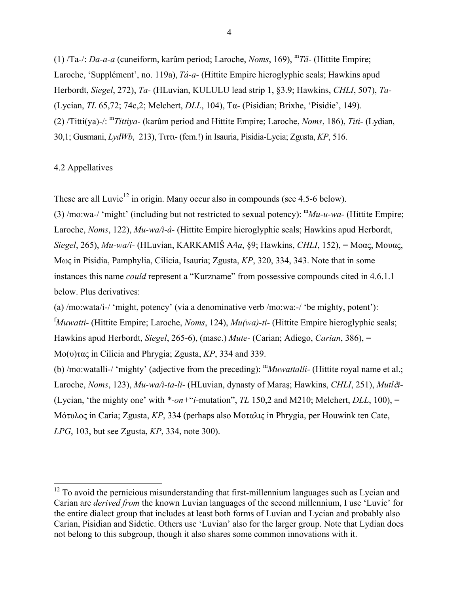(1) /Ta-/: *Da-a-a* (cuneiform, karûm period; Laroche, *Noms*, 169), <sup>m</sup>*Tā-* (Hittite Empire; Laroche, 'Supplément', no. 119a), *Tá-a-* (Hittite Empire hieroglyphic seals; Hawkins apud Herbordt, *Siegel*, 272), *Ta-* (HLuvian, KULULU lead strip 1, §3.9; Hawkins, *CHLI*, 507), *Ta-*  (Lycian, *TL* 65,72; 74c,2; Melchert, *DLL*, 104), Τα- (Pisidian; Brixhe, 'Pisidie', 149). (2) /Titti(ya)-/: m*Tittiya-* (karûm period and Hittite Empire; Laroche, *Noms*, 186), *Titi-* (Lydian, 30,1; Gusmani, *LydWb*, 213), Τιττι- (fem.!) in Isauria, Pisidia-Lycia; Zgusta, *KP*, 516.

### 4.2 Appellatives

1

These are all Luvic<sup>12</sup> in origin. Many occur also in compounds (see 4.5-6 below).

(3) /mo:wa-/ 'might' (including but not restricted to sexual potency): m*Mu-u-wa-* (Hittite Empire; Laroche, *Noms*, 122), *Mu-wa/i-á-* (Hittite Empire hieroglyphic seals; Hawkins apud Herbordt, *Siegel*, 265), *Mu-wa/i-* (HLuvian, KARKAMIŠ A4*a*, §9; Hawkins, *CHLI*, 152), = Μοας, Μουας, Μως in Pisidia, Pamphylia, Cilicia, Isauria; Zgusta, *KP*, 320, 334, 343. Note that in some instances this name *could* represent a "Kurzname" from possessive compounds cited in 4.6.1.1 below. Plus derivatives:

(a) /mo:wata/i-/ 'might, potency' (via a denominative verb /mo:wa:-/ 'be mighty, potent'): <sup>f</sup>Muwatti- (Hittite Empire; Laroche, *Noms*, 124), *Mu(wa)-ti-* (Hittite Empire hieroglyphic seals; Hawkins apud Herbordt, *Siegel*, 265-6), (masc.) *Mute-* (Carian; Adiego, *Carian*, 386), = Μο(υ)τας in Cilicia and Phrygia; Zgusta, *KP*, 334 and 339.

(b) /mo:watalli-/ 'mighty' (adjective from the preceding): m*Muwattalli-* (Hittite royal name et al.; Laroche, *Noms*, 123), *Mu-wa/i-ta-li-* (HLuvian, dynasty of Maraş; Hawkins, *CHLI*, 251), *Mutl*ẽ*i-*  (Lycian, 'the mighty one' with  $*$ -*on*+"*i*-mutation", *TL* 150,2 and M210; Melchert, *DLL*, 100), = Μότυλος in Caria; Zgusta, *KP*, 334 (perhaps also Μοταλις in Phrygia, per Houwink ten Cate, *LPG*, 103, but see Zgusta, *KP*, 334, note 300).

 $12$  To avoid the pernicious misunderstanding that first-millennium languages such as Lycian and Carian are *derived from* the known Luvian languages of the second millennium, I use 'Luvic' for the entire dialect group that includes at least both forms of Luvian and Lycian and probably also Carian, Pisidian and Sidetic. Others use 'Luvian' also for the larger group. Note that Lydian does not belong to this subgroup, though it also shares some common innovations with it.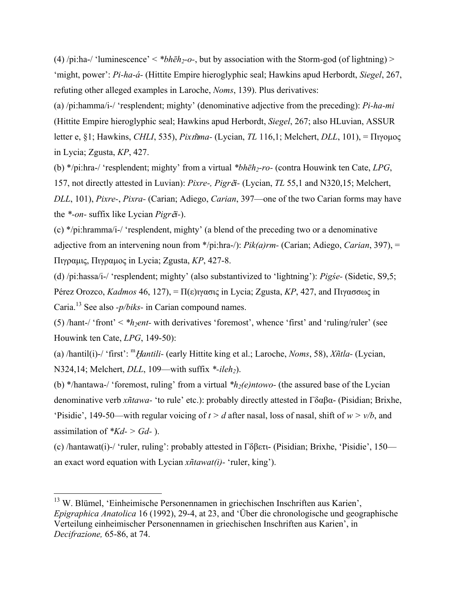(4) /pi:ha-/ 'luminescence'  $\lt^* b h \bar{e} h_2$ -o-, but by association with the Storm-god (of lightning) > 'might, power': *Pi-ha-á-* (Hittite Empire hieroglyphic seal; Hawkins apud Herbordt, *Siegel*, 267, refuting other alleged examples in Laroche, *Noms*, 139). Plus derivatives:

(a) /pi:hamma/i-/ 'resplendent; mighty' (denominative adjective from the preceding): *Pi-ha-mi*  (Hittite Empire hieroglyphic seal; Hawkins apud Herbordt, *Siegel*, 267; also HLuvian, ASSUR letter e, §1; Hawkins, *CHLI*, 535), *Pixma-* (Lycian, *TL* 116,1; Melchert, *DLL*, 101), = Πιγομος in Lycia; Zgusta, *KP*, 427.

(b) \*/pi:hra-/ 'resplendent; mighty' from a virtual *\*bhēh2-ro-* (contra Houwink ten Cate, *LPG*, 157, not directly attested in Luvian): *Pixre-, Pigr*ẽ*i-* (Lycian, *TL* 55,1 and N320,15; Melchert, *DLL*, 101), *Pixre-*, *Pixra-* (Carian; Adiego, *Carian*, 397—one of the two Carian forms may have the *\*-on-* suffix like Lycian *Pigr*ẽ*i-*).

(c) \*/pi:hramma/i-/ 'resplendent, mighty' (a blend of the preceding two or a denominative adjective from an intervening noun from \*/pi:hra-/): *Pik(a)rm-* (Carian; Adiego, *Carian*, 397), = Πιγραμις, Πιγραμος in Lycia; Zgusta, *KP*, 427-8.

(d) /pi:hassa/i-/ 'resplendent; mighty' (also substantivized to 'lightning'): *Pigśe-* (Sidetic, S9,5; Pérez Orozco, *Kadmos* 46, 127), = Π(ε)ιγασις in Lycia; Zgusta, KP, 427, and Πιγασσως in Caria.13 See also *-p/biks-* in Carian compound names.

(5)  $\theta$ hant-/ 'front' < \*h<sub>2</sub>ent- with derivatives 'foremost', whence 'first' and 'ruling/ruler' (see Houwink ten Cate, *LPG*, 149-50):

(a) /hantil(i)-/ 'first': <sup>m</sup>Ḫ*antili-* (early Hittite king et al.; Laroche, *Noms*, 58), *Xñtla-* (Lycian, N324,14; Melchert, *DLL*, 109—with suffix \*-*ileh*<sub>2</sub>).

(b) \*/hantawa-/ 'foremost, ruling' from a virtual \**h<sub>2</sub>(e)ntowo*- (the assured base of the Lycian denominative verb *xñtawa-* 'to rule' etc.): probably directly attested in Γδαβα- (Pisidian; Brixhe, 'Pisidie', 149-50—with regular voicing of  $t > d$  after nasal, loss of nasal, shift of  $w > v/b$ , and assimilation of *\*Kd- > Gd-* ).

(c) /hantawat(i)-/ 'ruler, ruling': probably attested in Γδβετι- (Pisidian; Brixhe, 'Pisidie', 150 an exact word equation with Lycian *xñtawat(i)-* 'ruler, king').

<sup>13</sup> W. Blümel, 'Einheimische Personennamen in griechischen Inschriften aus Karien', *Epigraphica Anatolica* 16 (1992), 29-4, at 23, and 'Über die chronologische und geographische Verteilung einheimischer Personennamen in griechischen Inschriften aus Karien', in *Decifrazione,* 65-86, at 74.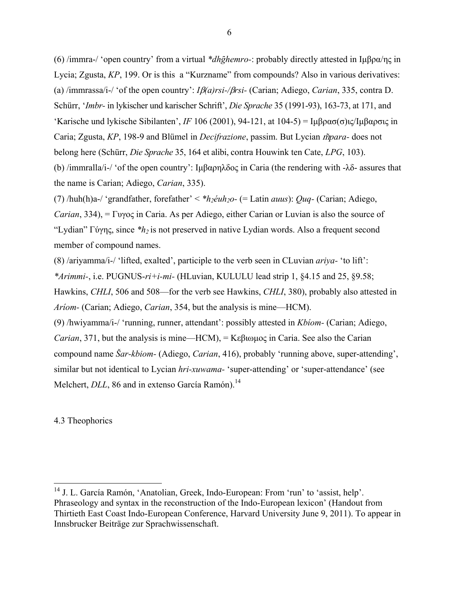(6) /immra-/ 'open country' from a virtual *\*dhghemro-*: probably directly attested in Ιμβρα/ης in Lycia; Zgusta, *KP*, 199. Or is this a "Kurzname" from compounds? Also in various derivatives: (a) /immrassa/i-/ 'of the open country': *I*β*(a)rsi-/*β*rsi-* (Carian; Adiego, *Carian*, 335, contra D. Schürr, '*Imbr-* in lykischer und karischer Schrift', *Die Sprache* 35 (1991-93), 163-73, at 171, and 'Karische und lykische Sibilanten', *IF* 106 (2001), 94-121, at 104-5) = Ιμβρασ(σ)ις/Ιμβαρσις in Caria; Zgusta, KP, 198-9 and Blümel in *Decifrazione*, passim. But Lycian *m<sup>mara*-</sup> does not belong here (Schürr, *Die Sprache* 35, 164 et alibi, contra Houwink ten Cate, *LPG*, 103). (b) /immralla/i-/ 'of the open country': Ιμβαρηλδος in Caria (the rendering with -λδ- assures that

the name is Carian; Adiego, *Carian*, 335).

(7) /huh(h)a-/ 'grandfather, forefather'  $\langle *h_2 \dot{e}uh_2 \rangle$ - (= Latin *auus*): *Quq*- (Carian; Adiego,

*Carian*, 334), = Γυγος in Caria. As per Adiego, either Carian or Luvian is also the source of "Lydian" Γύγης, since *\*h2* is not preserved in native Lydian words. Also a frequent second member of compound names.

(8) /ariyamma/i-/ 'lifted, exalted', participle to the verb seen in CLuvian *ariya-* 'to lift': *\*Arimmi-*, i.e. PUGNUS-*ri+i-mi-* (HLuvian, KULULU lead strip 1, §4.15 and 25, §9.58; Hawkins, *CHLI*, 506 and 508—for the verb see Hawkins, *CHLI*, 380), probably also attested in *Aríom-* (Carian; Adiego, *Carian*, 354, but the analysis is mine—HCM).

(9) /hwiyamma/i-/ 'running, runner, attendant': possibly attested in *Kbíom-* (Carian; Adiego, *Carian*, 371, but the analysis is mine—HCM), = Κεβιωμος in Caria. See also the Carian compound name *Šar-kbiom-* (Adiego, *Carian*, 416), probably 'running above, super-attending', similar but not identical to Lycian *hri-xuwama-* 'super-attending' or 'super-attendance' (see Melchert, *DLL*, 86 and in extenso García Ramón).<sup>14</sup>

4.3 Theophorics

<sup>&</sup>lt;sup>14</sup> J. L. García Ramón, 'Anatolian, Greek, Indo-European: From 'run' to 'assist, help'. Phraseology and syntax in the reconstruction of the Indo-European lexicon' (Handout from Thirtieth East Coast Indo-European Conference, Harvard University June 9, 2011). To appear in Innsbrucker Beiträge zur Sprachwissenschaft.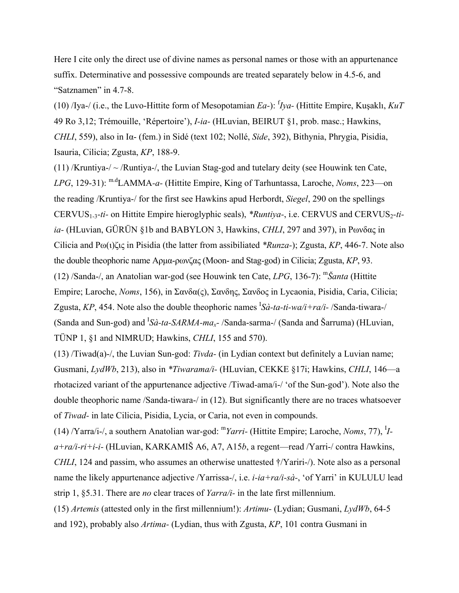Here I cite only the direct use of divine names as personal names or those with an appurtenance suffix. Determinative and possessive compounds are treated separately below in 4.5-6, and "Satznamen" in 4.7-8.

(10) /Iya-/ (i.e., the Luvo-Hittite form of Mesopotamian *Ea-*): f *Iya-* (Hittite Empire, Kuşaklı, *KuT*  49 Ro 3,12; Trémouille, 'Répertoire'), *I-ia-* (HLuvian, BEIRUT §1, prob. masc.; Hawkins, *CHLI*, 559), also in Ια- (fem.) in Sidé (text 102; Nollé, *Side*, 392), Bithynia, Phrygia, Pisidia, Isauria, Cilicia; Zgusta, *KP*, 188-9.

(11) /Kruntiya-/  $\sim$  /Runtiya-/, the Luvian Stag-god and tutelary deity (see Houwink ten Cate, *LPG*, 129-31): m.dLAMMA*-a-* (Hittite Empire, King of Tarhuntassa, Laroche, *Noms*, 223—on the reading /Kruntiya-/ for the first see Hawkins apud Herbordt, *Siegel*, 290 on the spellings CERVUS<sub>1-3</sub>-ti- on Hittite Empire hieroglyphic seals), *\*Runtiya*-, i.e. CERVUS and CERVUS<sub>2</sub>-ti*ia-* (HLuvian, GÜRÜN §1b and BABYLON 3, Hawkins, *CHLI*, 297 and 397), in Ρωνδας in Cilicia and Ρω(ι)ζις in Pisidia (the latter from assibiliated *\*Runza-*); Zgusta, *KP*, 446-7. Note also the double theophoric name Αρμα-ρωνζας (Moon- and Stag-god) in Cilicia; Zgusta, *KP*, 93. (12) /Sanda-/, an Anatolian war-god (see Houwink ten Cate, *LPG*, 136-7): m*Šanta* (Hittite Empire; Laroche, *Noms*, 156), in Σανδα(ς), Σανδης, Σανδος in Lycaonia, Pisidia, Caria, Cilicia; Zgusta, *KP*, 454. Note also the double theophoric names I *Sà-ta-ti-wa/i+ra/i-* /Sanda-tiwara-/ (Sanda and Sun-god) and <sup>*I</sup>Sà-ta-SARMA-ma<sub>x</sub>-/Sanda-sarma-/* (Sanda and Šarruma) (HLuvian,</sup> TÜNP 1, §1 and NIMRUD; Hawkins, *CHLI*, 155 and 570).

(13) /Tiwad(a)-/, the Luvian Sun-god: *Tivda-* (in Lydian context but definitely a Luvian name; Gusmani, *LydWb*, 213), also in *\*Tiwarama/i-* (HLuvian, CEKKE §17i; Hawkins, *CHLI*, 146—a rhotacized variant of the appurtenance adjective /Tiwad-ama/i-/ 'of the Sun-god'). Note also the double theophoric name /Sanda-tiwara-/ in (12). But significantly there are no traces whatsoever of *Tiwad-* in late Cilicia, Pisidia, Lycia, or Caria, not even in compounds.

(14) /Yarra/i-/, a southern Anatolian war-god: <sup>m</sup>*Yarri-* (Hittite Empire; Laroche, *Noms*, 77), <sup>I</sup> *Ia+ra/i-ri+i-i-* (HLuvian, KARKAMIŠ A6, A7, A15*b*, a regent—read /Yarri-/ contra Hawkins, *CHLI*, 124 and passim, who assumes an otherwise unattested †/Yariri-/). Note also as a personal name the likely appurtenance adjective /Yarrissa-/, i.e. *i-ia+ra/i-sà-*, 'of Yarri' in KULULU lead strip 1, §5.31. There are *no* clear traces of *Yarra/i-* in the late first millennium.

(15) *Artemis* (attested only in the first millennium!): *Artimu-* (Lydian; Gusmani, *LydWb*, 64-5 and 192), probably also *Artima-* (Lydian, thus with Zgusta, *KP*, 101 contra Gusmani in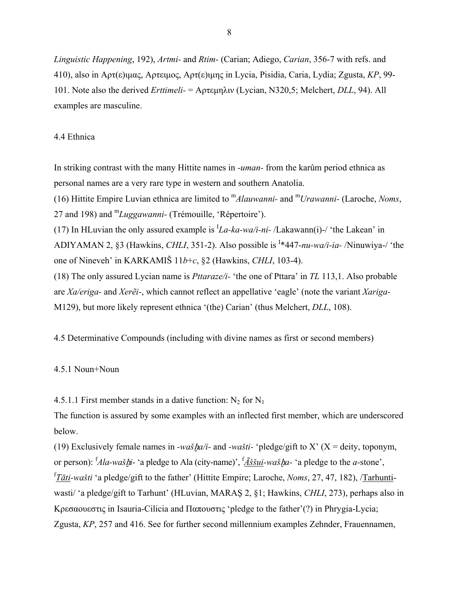*Linguistic Happening*, 192), *Artmi-* and *Rtim-* (Carian; Adiego, *Carian*, 356-7 with refs. and 410), also in Αρτ(ε)ιμας, Αρτειμος, Αρτ(ε)ιμης in Lycia, Pisidia, Caria, Lydia; Zgusta, *KP*, 99- 101. Note also the derived *Erttimeli-* = Αρτεμηλιν (Lycian, N320,5; Melchert, *DLL*, 94). All examples are masculine.

## 4.4 Ethnica

In striking contrast with the many Hittite names in *-uman-* from the karûm period ethnica as personal names are a very rare type in western and southern Anatolia. (16) Hittite Empire Luvian ethnica are limited to m*Alauwanni-* and <sup>m</sup>*Urawanni-* (Laroche, *Noms*, 27 and 198) and <sup>m</sup>*Luggawanni-* (Trémouille, 'Répertoire'). (17) In HLuvian the only assured example is  $<sup>I</sup>La-ka-wa/i-ni-$  /Lakawann(i)-/ 'the Lakean' in</sup> ADIYAMAN 2, §3 (Hawkins, *CHLI*, 351-2). Also possible is <sup>I</sup> \*447-*nu-wa/i-ia-* /Ninuwiya-/ 'the one of Nineveh' in KARKAMIŠ 11*b*+*c*, §2 (Hawkins, *CHLI*, 103-4). (18) The only assured Lycian name is *Pttaraze/i-* 'the one of Pttara' in *TL* 113,1. Also probable are *Xa/eriga-* and *Xerẽi-*, which cannot reflect an appellative 'eagle' (note the variant *Xariga-*M129), but more likely represent ethnica '(the) Carian' (thus Melchert, *DLL*, 108).

4.5 Determinative Compounds (including with divine names as first or second members)

4.5.1 Noun+Noun

4.5.1.1 First member stands in a dative function:  $N_2$  for  $N_1$ 

The function is assured by some examples with an inflected first member, which are underscored below.

(19) Exclusively female names in *-wašha/i-* and *-wašti-* 'pledge/gift to X' (X = deity, toponym, or person): f *Ala-waš*ḫ*i-* 'a pledge to Ala (city-name)', f *Āššui-waš*ḫ*a-* 'a pledge to the *a-*stone', f *Tāti-wašti* 'a pledge/gift to the father' (Hittite Empire; Laroche, *Noms*, 27, 47, 182), /Tarhuntiwasti/ 'a pledge/gift to Tarhunt' (HLuvian, MARAŞ 2, §1; Hawkins, *CHLI*, 273), perhaps also in Κρεσαουεστις in Isauria-Cilicia and Παπουστις 'pledge to the father'(?) in Phrygia-Lycia; Zgusta, *KP*, 257 and 416. See for further second millennium examples Zehnder, Frauennamen,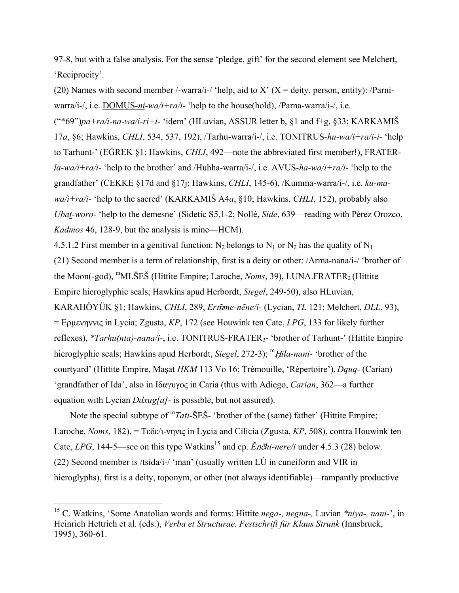97-8, but with a false analysis. For the sense 'pledge, gift' for the second element see Melchert, 'Reciprocity'.

(20) Names with second member /-warra/i-/ 'help, aid to X' ( $X =$  deity, person, entity): /Parniwarra/i-/, i.e. DOMUS*-ni-wa/i+ra/i-* 'help to the house(hold), /Parna-warra/i-/, i.e. ("\*69")*pa+ra/i-na-wa/i-ri+i-* 'idem' (HLuvian, ASSUR letter b, §1 and f+g, §33; KARKAMIŠ 17*a*, §6; Hawkins, *CHLI*, 534, 537, 192), /Tarhu-warra/i-/, i.e. TONITRUS*-hu-wa/i+ra/i-i-* 'help to Tarhunt-' (EĞREK §1; Hawkins, *CHLI*, 492—note the abbreviated first member!), FRATER*la-wa/i+ra/i-* 'help to the brother' and /Huhha-warra/i-/, i.e. AVUS*-ha-wa/i+ra/i-* 'help to the grandfather' (CEKKE §17d and §17j; Hawkins, *CHLI*, 145-6), /Kumma-warra/i-/, i.e. *ku-mawa/i+ra/i-* 'help to the sacred' (KARKAMIŠ A4*a*, §10; Hawkins, *CHLI*, 152), probably also *Ubat-woro-* 'help to the demesne' (Sidetic S5,1-2; Nollé, *Side*, 639—reading with Pérez Orozco, *Kadmos* 46, 128-9, but the analysis is mine—HCM).

4.5.1.2 First member in a genitival function:  $N_2$  belongs to  $N_1$  or  $N_2$  has the quality of  $N_1$ (21) Second member is a term of relationship, first is a deity or other: /Arma-nana/i-/ 'brother of the Moon(-god), <sup>m</sup>MI.ŠEŠ (Hittite Empire; Laroche, *Noms*, 39), LUNA.FRATER<sub>2</sub> (Hittite Empire hieroglyphic seals; Hawkins apud Herbordt, *Siegel*, 249-50), also HLuvian, KARAHÖYÜK §1; Hawkins, *CHLI*, 289, *Erme-nẽne/i-* (Lycian, *TL* 121; Melchert, *DLL*, 93), = Ερμενηννις in Lycia; Zgusta, *KP*, 172 (see Houwink ten Cate, *LPG*, 133 for likely further reflexes), *\*Tarhu(nta)-nana/i-*, i.e. TONITRUS-FRATER<sub>2</sub>- 'brother of Tarhunt-' (Hittite Empire hieroglyphic seals; Hawkins apud Herbordt, *Siegel*, 272-3); <sup>m</sup>*Hila-nani*- 'brother of the courtyard' (Hittite Empire, Maşat *HKM* 113 Vo 16; Trémouille, 'Répertoire'), *Dquq-* (Carian) 'grandfather of Ida', also in Ιδαγυγος in Caria (thus with Adiego, *Carian*, 362—a further equation with Lycian *Ddxug[a]-* is possible, but not assured).

Note the special subtype of <sup>m</sup>*Tati*-ŠES<sup>-</sup> 'brother of the (same) father' (Hittite Empire; Laroche, *Noms*, 182), = Τεδε/ι-νηνις in Lycia and Cilicia (Zgusta, *KP*, 508), contra Houwink ten Cate, *LPG*, 144-5—see on this type Watkins<sup>15</sup> and cp.  $\tilde{E}n\tilde{e}hi-*nere/i*$  under 4.5.3 (28) below. (22) Second member is /tsida/i-/ 'man' (usually written LÚ in cuneiform and VIR in hieroglyphs), first is a deity, toponym, or other (not always identifiable)—rampantly productive

1

<sup>15</sup> C. Watkins, 'Some Anatolian words and forms: Hittite *nega-, negna-,* Luvian *\*niya-, nani-*', in Heinrich Hettrich et al. (eds.), *Verba et Structurae. Festschrift für Klaus Strunk* (Innsbruck, 1995), 360-61.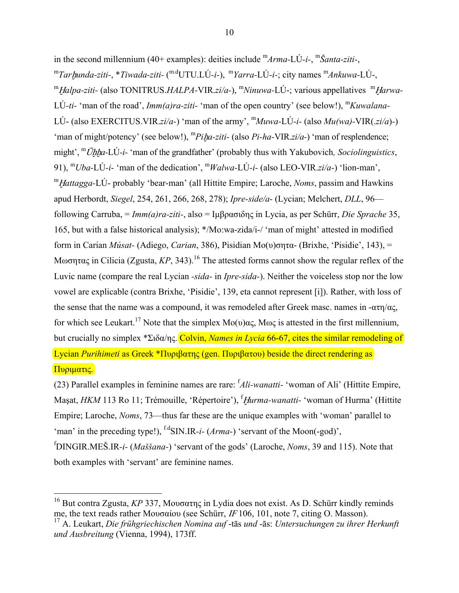in the second millennium (40+ examples): deities include m*Arma-*LÚ*-i-*, <sup>m</sup>*Šanta-ziti-*, <sup>m</sup>*Tar*ḫ*unda-ziti-*, \**Tiwada-ziti-* ( m.dUTU.LÚ*-i-*), <sup>m</sup>*Yarra-*LÚ*-i-*; city names <sup>m</sup>*Ankuwa-*LÚ-, <sup>m</sup>Ḫ*alpa-ziti-* (also TONITRUS.*HALPA-*VIR.*zi/a-*), <sup>m</sup>*Ninuwa-*LÚ-; various appellatives <sup>m</sup>Ḫ*arwa-*LÚ-ti- 'man of the road', *Imm(a)ra-ziti*- 'man of the open country' (see below!), <sup>m</sup>*Kuwalana*-LÚ- (also EXERCITUS.VIR.*zi/a-*) 'man of the army', <sup>m</sup>*Muwa-*LÚ*-i-* (also *Mu(wa)-*VIR(.*zi/a*)*-*) 'man of might/potency' (see below!), <sup>m</sup>*Pi*ḫ*a-ziti-* (also *Pi-ha-*VIR.*zi/a-*) 'man of resplendence; might', <sup>m</sup>Uhha-LÚ-i- 'man of the grandfather' (probably thus with Yakubovich, Sociolinguistics, 91), <sup>m</sup>*Uba-*LÚ*-i-* 'man of the dedication', <sup>m</sup>*Walwa-*LÚ*-i-* (also LEO-VIR.*zi/a-*) 'lion-man', <sup>m</sup>Ḫ*attagga-*LÚ- probably 'bear-man' (all Hittite Empire; Laroche, *Noms*, passim and Hawkins apud Herbordt, *Siegel*, 254, 261, 266, 268, 278); *Ipre-side/a-* (Lycian; Melchert, *DLL*, 96 following Carruba, = *Imm(a)ra-ziti-*, also = Ιμβρασιδης in Lycia, as per Schürr, *Die Sprache* 35, 165, but with a false historical analysis); \*/Mo:wa-zida/i-/ 'man of might' attested in modified form in Carian *Músat-* (Adiego, *Carian*, 386), Pisidian Μο(υ)σητα- (Brixhe, 'Pisidie', 143), = Mωσητας in Cilicia (Zgusta, KP, 343).<sup>16</sup> The attested forms cannot show the regular reflex of the Luvic name (compare the real Lycian *-sida-* in *Ipre-sida-*). Neither the voiceless stop nor the low vowel are explicable (contra Brixhe, 'Pisidie', 139, eta cannot represent [i]). Rather, with loss of the sense that the name was a compound, it was remodeled after Greek masc, names in  $-\alpha \tau n/\alpha \zeta$ , for which see Leukart.<sup>17</sup> Note that the simplex Mo(υ)ας, Μως is attested in the first millennium, but crucially no simplex \*Σιδα/ης. Colvin, *Names in Lycia* 66-67, cites the similar remodeling of Lycian *Purihimeti* as Greek \*Πυριβατης (gen. Πυριβατου) beside the direct rendering as Πυριματις. (23) Parallel examples in feminine names are rare: f *Ali-wanatti-* 'woman of Ali' (Hittite Empire,

Maşat, *HKM* 113 Ro 11; Trémouille, 'Répertoire'), f Ḫ*urma-wanatti-* 'woman of Hurma' (Hittite Empire; Laroche, *Noms*, 73—thus far these are the unique examples with 'woman' parallel to 'man' in the preceding type!), <sup>f.d</sup>SIN.IR-*i*- (*Arma*-) 'servant of the Moon(-god)'. f DINGIR.MEŠ.IR*-i-* (*Maššana-*) 'servant of the gods' (Laroche, *Noms*, 39 and 115). Note that both examples with 'servant' are feminine names.

<sup>1</sup> <sup>16</sup> But contra Zgusta, *KP* 337, Μουσατης in Lydia does not exist. As D. Schürr kindly reminds me, the text reads rather Μουσαίου (see Schürr,  $IF106$ , 101, note 7, citing O. Masson).

<sup>17</sup> A. Leukart, *Die frühgriechischen Nomina auf* -tās *und* -ās: *Untersuchungen zu ihrer Herkunft und Ausbreitung* (Vienna, 1994), 173ff.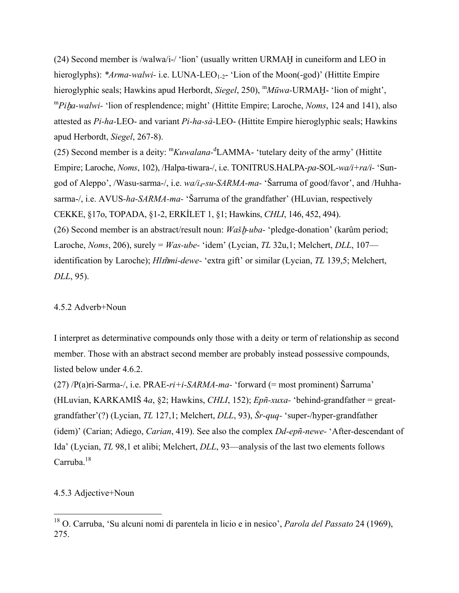(24) Second member is /walwa/i-/ 'lion' (usually written URMAḪ in cuneiform and LEO in hieroglyphs): *\*Arma-walwi-* i.e. LUNA-LEO<sub>1-2</sub>- 'Lion of the Moon(-god)' (Hittite Empire hieroglyphic seals; Hawkins apud Herbordt, *Siegel*, 250), <sup>m</sup>M*ūwa*-URMAH- 'lion of might', <sup>m</sup>*Pi*ḫ*a-walwi-* 'lion of resplendence; might' (Hittite Empire; Laroche, *Noms*, 124 and 141), also attested as *Pi-ha-*LEO- and variant *Pi-ha-sà-*LEO- (Hittite Empire hieroglyphic seals; Hawkins apud Herbordt, *Siegel*, 267-8).

(25) Second member is a deity: <sup>m</sup>*Kuwalana-*<sup>d</sup> LAMMA- 'tutelary deity of the army' (Hittite Empire; Laroche, *Noms*, 102), /Halpa-tiwara-/, i.e. TONITRUS.HALPA-*pa*-SOL-*wa/i+ra/i-* 'Sungod of Aleppo', /Wasu-sarma-/, i.e. *wa/i4-su-SARMA-ma-* 'Šarruma of good/favor', and /Huhhasarma-/, i.e. AVUS*-ha-SARMA-ma-* 'Šarruma of the grandfather' (HLuvian, respectively CEKKE, §17o, TOPADA, §1-2, ERKİLET 1, §1; Hawkins, *CHLI*, 146, 452, 494). (26) Second member is an abstract/result noun: *Wašh-uba-* 'pledge-donation' (karûm period; Laroche, *Noms*, 206), surely = *Was-ube-* 'idem' (Lycian, *TL* 32u,1; Melchert, *DLL*, 107 identification by Laroche); *Hlmi-dewe-* 'extra gift' or similar (Lycian, *TL* 139,5; Melchert, *DLL*, 95).

### 4.5.2 Adverb+Noun

I interpret as determinative compounds only those with a deity or term of relationship as second member. Those with an abstract second member are probably instead possessive compounds, listed below under 4.6.2.

(27) /P(a)ri-Sarma-/, i.e. PRAE-*ri+i-SARMA-ma-* 'forward (= most prominent) Šarruma' (HLuvian, KARKAMIŠ 4*a*, §2; Hawkins, *CHLI*, 152); *Epñ-xuxa-* 'behind-grandfather = greatgrandfather'(?) (Lycian, *TL* 127,1; Melchert, *DLL*, 93), *Šr-quq-* 'super-/hyper-grandfather (idem)' (Carian; Adiego, *Carian*, 419). See also the complex *Dd-epñ-newe-* 'After-descendant of Ida' (Lycian, *TL* 98,1 et alibi; Melchert, *DLL*, 93—analysis of the last two elements follows Carruba. $18$ 

# 4.5.3 Adjective+Noun

<sup>18</sup> O. Carruba, 'Su alcuni nomi di parentela in licio e in nesico', *Parola del Passato* 24 (1969), 275.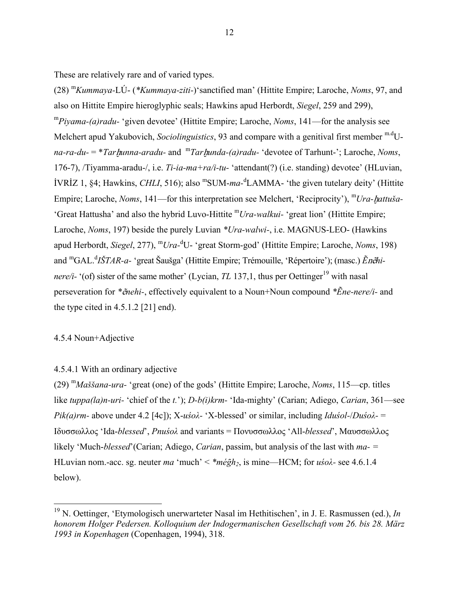These are relatively rare and of varied types.

(28) <sup>m</sup>*Kummaya-*LÚ- (*\*Kummaya-ziti-*)'sanctified man' (Hittite Empire; Laroche, *Noms*, 97, and also on Hittite Empire hieroglyphic seals; Hawkins apud Herbordt, *Siegel*, 259 and 299), <sup>m</sup>*Piyama-(a)radu-* 'given devotee' (Hittite Empire; Laroche, *Noms*, 141—for the analysis see Melchert apud Yakubovich, *Sociolinguistics*, 93 and compare with a genitival first member <sup>m.d</sup>U*na-ra-du-* = \**Tar*ḫ*unna-aradu-* and <sup>m</sup>*Tar*ḫ*unda-(a)radu-* 'devotee of Tarhunt-'; Laroche, *Noms*, 176-7), /Tiyamma-aradu-/, i.e. *Ti-ia-ma+ra/i-tu-* 'attendant(?) (i.e. standing) devotee' (HLuvian, IVRIZ 1, §4; Hawkins, *CHLI*, 516); also <sup>m</sup>SUM-ma-<sup>d</sup>LAMMA- 'the given tutelary deity' (Hittite Empire; Laroche, *Noms*, 141—for this interpretation see Melchert, 'Reciprocity'), <sup>m</sup>Ura-hattuša-'Great Hattusha' and also the hybrid Luvo-Hittite <sup>m</sup>*Ura-walkui-* 'great lion' (Hittite Empire; Laroche, *Noms*, 197) beside the purely Luvian *\*Ura-walwi-*, i.e. MAGNUS-LEO- (Hawkins apud Herbordt, *Siegel*, 277), <sup>m</sup>*Ura-*<sup>d</sup> U- 'great Storm-god' (Hittite Empire; Laroche, *Noms*, 198) and <sup>m</sup>GAL.<sup>d</sup>IŠTAR-a- 'great Šaušga' (Hittite Empire; Trémouille, 'Répertoire'); (masc.) *Énêhinere/i-*  $^{\prime}$ (of) sister of the same mother' (Lycian, *TL* 137,1, thus per Oettinger<sup>19</sup> with nasal perseveration for *\**ẽ*nehi-*, effectively equivalent to a Noun+Noun compound *\*Ene-nere/i-* and the type cited in  $4.5.1.2$  [21] end).

# 4.5.4 Noun+Adjective

 $\overline{a}$ 

### 4.5.4.1 With an ordinary adjective

(29) <sup>m</sup>*Maššana-ura-* 'great (one) of the gods' (Hittite Empire; Laroche, *Noms*, 115—cp. titles like *tuppa(la)n-uri-* 'chief of the *t.*'); *D-b(i)krm-* 'Ida-mighty' (Carian; Adiego, *Carian*, 361—see *Pik(a)rm-* above under 4.2 [4c]); X-*uśoλ-* 'X-blessed' or similar, including *Iduśol-*/*Duśoλ-* = Ιδυσσωλλος 'Ida-*blessed*', *Pnuśoλ* and variants = Пονυσσωλλος 'All-*blessed*', Μαυσσωλλος likely 'Much-*blessed*'(Carian; Adiego, *Carian*, passim, but analysis of the last with *ma- =*  HLuvian nom.-acc. sg. neuter *ma* 'much' < *\*mégh2*, is mine—HCM; for *uśoλ-* see 4.6.1.4 below).

<sup>19</sup> N. Oettinger, 'Etymologisch unerwarteter Nasal im Hethitischen', in J. E. Rasmussen (ed.), *In honorem Holger Pedersen. Kolloquium der Indogermanischen Gesellschaft vom 26. bis 28. März 1993 in Kopenhagen* (Copenhagen, 1994), 318.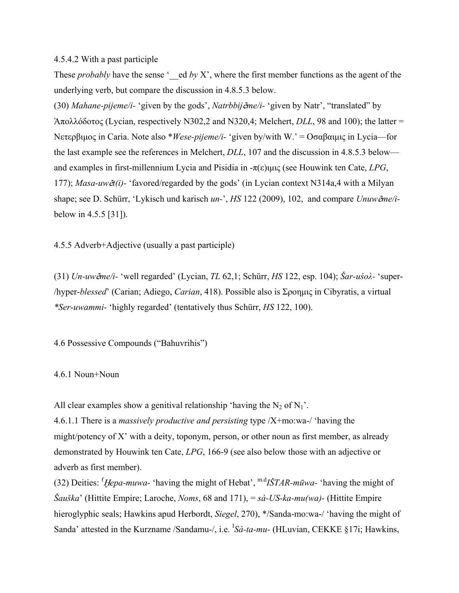### 4.5.4.2 With a past participle

These *probably* have the sense '\_\_ed *by* X', where the first member functions as the agent of the underlying verb, but compare the discussion in 4.8.5.3 below.

(30) *Mahane-pijeme/i-* 'given by the gods', *Natrbbij*ẽ*me/i-* 'given by Natr', "translated" by Ἀπολλόδοτος (Lycian, respectively N302,2 and N320,4; Melchert, *DLL*, 98 and 100); the latter = Νετερβιμος in Caria. Note also \**Wese-pijeme/i-* 'given by/with W.' = Οσαβαιμις in Lycia—for the last example see the references in Melchert, *DLL*, 107 and the discussion in 4.8.5.3 below and examples in first-millennium Lycia and Pisidia in -π(ε)ιμις (see Houwink ten Cate, *LPG*, 177); *Masa-uw*ẽ*t(i)-* 'favored/regarded by the gods' (in Lycian context N314a,4 with a Milyan shape; see D. Schürr, 'Lykisch und karisch *un-*', *HS* 122 (2009), 102, and compare *Unuw*ẽ*me/i*below in 4.5.5 [31]).

4.5.5 Adverb+Adjective (usually a past participle)

(31) *Un-uw*ẽ*me/i-* 'well regarded' (Lycian, *TL* 62,1; Schürr, *HS* 122, esp. 104); *Šar-uśoλ-* 'super- /hyper-*blessed*' (Carian; Adiego, *Carian*, 418). Possible also is Σροημις in Cibyratis, a virtual *\*Ser-uwammi-* 'highly regarded' (tentatively thus Schürr, *HS* 122, 100).

4.6 Possessive Compounds ("Bahuvrihis")

# 4.6.1 Noun+Noun

All clear examples show a genitival relationship 'having the  $N_2$  of  $N_1$ '.

4.6.1.1 There is a *massively productive and persisting* type /X+mo:wa-/ 'having the might/potency of X' with a deity, toponym, person, or other noun as first member, as already demonstrated by Houwink ten Cate, *LPG*, 166-9 (see also below those with an adjective or adverb as first member).

(32) Deities: f Ḫ*epa-muwa-* 'having the might of Hebat', m.d*IŠTAR-mūwa-* 'having the might of *Šauška*' (Hittite Empire; Laroche, *Noms*, 68 and 171), = *sà-US-ka-mu(wa)-* (Hittite Empire hieroglyphic seals; Hawkins apud Herbordt, *Siegel*, 270), \*/Sanda-mo:wa-/ 'having the might of Sanda' attested in the Kurzname /Sandamu-/, i.e. <sup>I</sup>Sà-ta-mu- (HLuvian, CEKKE §17i; Hawkins,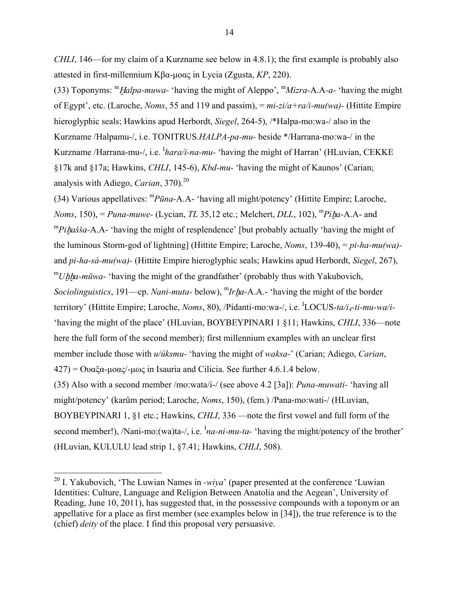*CHLI*, 146—for my claim of a Kurzname see below in 4.8.1); the first example is probably also attested in first-millennium Κβα-μοας in Lycia (Zgusta, *KP*, 220).

(33) Toponyms: <sup>m</sup>Ḫ*alpa-muwa-* 'having the might of Aleppo', m*Mizra-*A.A*-a-* 'having the might of Egypt', etc. (Laroche, *Noms*, 55 and 119 and passim), = *mi-zi/a+ra/i-mu(wa)-* (Hittite Empire hieroglyphic seals; Hawkins apud Herbordt, *Siegel*, 264-5), /\*Halpa-mo:wa-/ also in the Kurzname /Halpamu-/, i.e. TONITRUS*.HALPA-pa-mu-* beside \*/Harrana-mo:wa-/ in the Kurzname /Harrana-mu-/, i.e. <sup>*I</sup>hara/i-na-mu*- 'having the might of Harran' (HLuvian, CEKKE</sup> §17k and §17a; Hawkins, *CHLI*, 145-6), *Kbd-mu-* 'having the might of Kaunos' (Carian; analysis with Adiego, *Carian*, 370).<sup>20</sup>

(34) Various appellatives: <sup>m</sup>*Pūna-*A.A- 'having all might/potency' (Hittite Empire; Laroche, *Noms*, 150), = *Puna-muwe-* (Lycian, *TL* 35,12 etc.; Melchert, *DLL*, 102), <sup>m</sup>*Pi*ḫ*a-*A.A- and <sup>m</sup>Pihašša-A.A- 'having the might of resplendence' [but probably actually 'having the might of the luminous Storm-god of lightning] (Hittite Empire; Laroche, *Noms*, 139-40), = *pi-ha-mu(wa)*  and *pi-ha-sà-mu(wa)-* (Hittite Empire hieroglyphic seals; Hawkins apud Herbordt, *Siegel*, 267), <sup>m</sup>*Uhha-mūwa-* 'having the might of the grandfather' (probably thus with Yakubovich, *Sociolinguistics*, 191—cp. *Nani-muta-* below), <sup>m</sup>*Ir*ḫ*a-*A.A.- 'having the might of the border territory' (Hittite Empire; Laroche, *Noms*, 80), /Pidanti-mo:wa-/, i.e. <sup>I</sup>LOCUS-ta/i<sub>4</sub>-ti-mu-wa/i-'having the might of the place' (HLuvian, BOYBEYPINARI 1 §11; Hawkins, *CHLI*, 336—note here the full form of the second member); first millennium examples with an unclear first member include those with *u/úksmu-* 'having the might of *waksa-*' (Carian; Adiego, *Carian*,  $427$ ) =  $\Omega$ υαξα-μοας/-μως in Isauria and Cilicia. See further 4.6.1.4 below. (35) Also with a second member /mo:wata/i-/ (see above 4.2 [3a]): *Puna-muwati-* 'having all might/potency' (karûm period; Laroche, *Noms*, 150), (fem.) /Pana-mo:wati-/ (HLuvian, BOYBEYPINARI 1, §1 etc.; Hawkins, *CHLI*, 336 —note the first vowel and full form of the second member!), /Nani-mo:(wa)ta-/, i.e. <sup>I</sup>na-ni-mu-ta- 'having the might/potency of the brother' (HLuvian, KULULU lead strip 1, §7.41; Hawkins, *CHLI*, 508).

<sup>20</sup> I. Yakubovich, 'The Luwian Names in *-wiya*' (paper presented at the conference 'Luwian Identities: Culture, Language and Religion Between Anatolia and the Aegean', University of Reading, June 10, 2011), has suggested that, in the possessive compounds with a toponym or an appellative for a place as first member (see examples below in [34]), the true reference is to the (chief) *deity* of the place. I find this proposal very persuasive.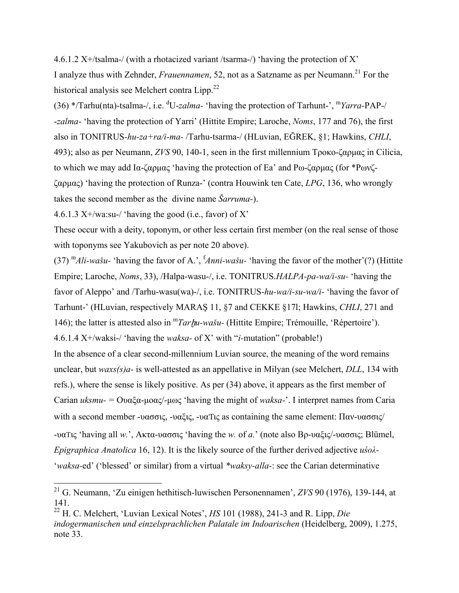4.6.1.2 X+/tsalma-/ (with a rhotacized variant /tsarma-/) 'having the protection of X' I analyze thus with Zehnder, *Frauennamen*, 52, not as a Satzname as per Neumann.<sup>21</sup> For the historical analysis see Melchert contra  $Lipp.<sup>22</sup>$ 

(36) \*/Tarhu(nta)-tsalma-/, i.e. d U-*zalma-* 'having the protection of Tarhunt-', m*Yarra-*PAP-/ -*zalma-* 'having the protection of Yarri' (Hittite Empire; Laroche, *Noms*, 177 and 76), the first also in TONITRUS*-hu-za+ra/i-ma-* /Tarhu-tsarma-/ (HLuvian, EĞREK, §1; Hawkins, *CHLI*, 493); also as per Neumann, *ZVS* 90, 140-1, seen in the first millennium Τροκο-ζαρμας in Cilicia, to which we may add Ια-ζαρμας 'having the protection of Ea' and Ρω-ζαρμας (for \*Ρωνζζαρμας) 'having the protection of Runza-' (contra Houwink ten Cate, *LPG*, 136, who wrongly takes the second member as the divine name *Šarruma-*).

4.6.1.3  $X+$ /wa:su-/ 'having the good (i.e., favor) of X'

 $\overline{a}$ 

These occur with a deity, toponym, or other less certain first member (on the real sense of those with toponyms see Yakubovich as per note 20 above).

 $(37)$ <sup>m</sup>Ali-wašu- 'having the favor of A.', <sup>f</sup>Anni-wašu- 'having the favor of the mother'(?) (Hittite Empire; Laroche, *Noms*, 33), /Halpa-wasu-/, i.e. TONITRUS.*HALPA-pa-wa/i-su-* 'having the favor of Aleppo' and /Tarhu-wasu(wa)-/, i.e. TONITRUS-*hu-wa/i-su-wa/i-* 'having the favor of Tarhunt-' (HLuvian, respectively MARAŞ 11, §7 and CEKKE §17l; Hawkins, *CHLI*, 271 and 146); the latter is attested also in m*Tar*ḫ*u-wašu-* (Hittite Empire; Trémouille, 'Répertoire'). 4.6.1.4 X+/waksi-/ 'having the *waksa-* of X' with "*i-*mutation" (probable!) In the absence of a clear second-millennium Luvian source, the meaning of the word remains unclear, but *waxs(s)a-* is well-attested as an appellative in Milyan (see Melchert, *DLL*, 134 with refs.), where the sense is likely positive. As per (34) above, it appears as the first member of

Carian *uksmu- =* Ουαξα-μοας/-μως 'having the might of *waksa-*'. I interpret names from Caria with a second member -υασσις, -υαξις, -υαΤις as containing the same element: Παν-υασσις/ -υαΤις 'having all *w.*', Ακτα-υασσις 'having the *w.* of *a.*' (note also Βρ-υαξις/-υασσις; Blümel, *Epigraphica Anatolica* 16, 12). It is the likely source of the further derived adjective *uśoλ-* 

'*waksa-*ed' ('blessed' or similar) from a virtual *\*waksy-alla-*: see the Carian determinative

<sup>21</sup> G. Neumann, 'Zu einigen hethitisch-luwischen Personennamen', *ZVS* 90 (1976), 139-144, at 141.

<sup>22</sup> H. C. Melchert, 'Luvian Lexical Notes', *HS* 101 (1988), 241-3 and R. Lipp, *Die indogermanischen und einzelsprachlichen Palatale im Indoarischen* (Heidelberg, 2009), 1.275, note 33.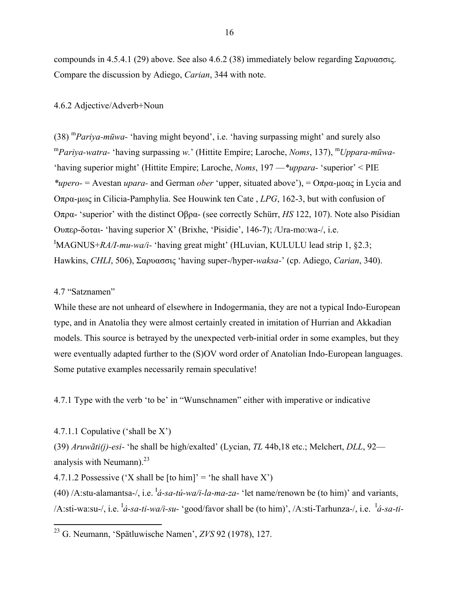compounds in 4.5.4.1 (29) above. See also 4.6.2 (38) immediately below regarding Σαρυασσις. Compare the discussion by Adiego, *Carian*, 344 with note.

#### 4.6.2 Adjective/Adverb+Noun

(38) <sup>m</sup>*Pariya-mūwa-* 'having might beyond', i.e. 'having surpassing might' and surely also <sup>m</sup>*Pariya-watra-* 'having surpassing *w.*' (Hittite Empire; Laroche, *Noms*, 137), <sup>m</sup>*Uppara-mūwa-*  'having superior might' (Hittite Empire; Laroche, *Noms*, 197 —*\*uppara-* 'superior' < PIE *\*upero-* = Avestan *upara-* and German *ober* 'upper, situated above'), = Οπρα-μοας in Lycia and Οπρα-μως in Cilicia-Pamphylia. See Houwink ten Cate , *LPG*, 162-3, but with confusion of Οπρα- 'superior' with the distinct Οβρα- (see correctly Schürr, *HS* 122, 107). Note also Pisidian Ουπερ-δοται- 'having superior X' (Brixhe, 'Pisidie', 146-7); /Ura-mo:wa-/, i.e. <sup>I</sup>MAGNUS+*RA/I-mu-wa/i-* 'having great might' (HLuvian, KULULU lead strip 1, §2.3; Hawkins, *CHLI*, 506), Σαρυασσις 'having super-/hyper-*waksa-*' (cp. Adiego, *Carian*, 340).

### 4.7 "Satznamen"

<u>.</u>

While these are not unheard of elsewhere in Indogermania, they are not a typical Indo-European type, and in Anatolia they were almost certainly created in imitation of Hurrian and Akkadian models. This source is betrayed by the unexpected verb-initial order in some examples, but they were eventually adapted further to the (S)OV word order of Anatolian Indo-European languages. Some putative examples necessarily remain speculative!

4.7.1 Type with the verb 'to be' in "Wunschnamen" either with imperative or indicative

4.7.1.1 Copulative ('shall be X')

(39) *Aruwãti(j)-esi-* 'he shall be high/exalted' (Lycian, *TL* 44b,18 etc.; Melchert, *DLL*, 92 analysis with Neumann). $^{23}$ 

4.7.1.2 Possessive ('X shall be [to him]' = 'he shall have  $X'$ )

(40) /A:stu-alamantsa-/, i.e.  ${}^{I}$ *á-sa-tú-wa/i-la-ma-za-* 'let name/renown be (to him)' and variants, /A:sti-wa:su-/, i.e. I *á-sa-ti-wa/i-su-* 'good/favor shall be (to him)', /A:sti-Tarhunza-/, i.e. <sup>I</sup> *á-sa-ti-*

<sup>23</sup> G. Neumann, 'Spätluwische Namen', *ZVS* 92 (1978), 127.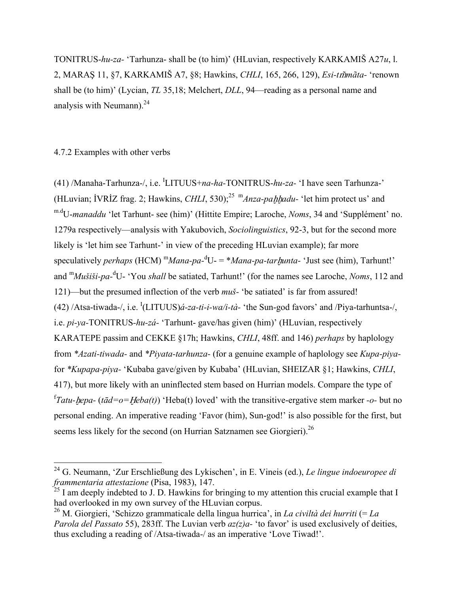TONITRUS-*hu-za-* 'Tarhunza- shall be (to him)' (HLuvian, respectively KARKAMIŠ A27*u*, l. 2, MARAŞ 11, §7, KARKAMIŠ A7, §8; Hawkins, *CHLI*, 165, 266, 129), *Esi-tmãta-* 'renown shall be (to him)' (Lycian, *TL* 35,18; Melchert, *DLL*, 94—reading as a personal name and analysis with Neumann). $^{24}$ 

## 4.7.2 Examples with other verbs

 $\overline{a}$ 

(41) /Manaha-Tarhunza-/, i.e. <sup>I</sup>LITUUS+*na-ha*-TONITRUS-*hu-za*- 'I have seen Tarhunza-' (HLuvian; İVRİZ frag. 2; Hawkins, *CHLI*, 530);<sup>25</sup> <sup>m</sup>*Anza-pahhadu*- 'let him protect us' and m.dU-*manaddu* 'let Tarhunt- see (him)' (Hittite Empire; Laroche, *Noms*, 34 and 'Supplément' no. 1279a respectively—analysis with Yakubovich, *Sociolinguistics*, 92-3, but for the second more likely is 'let him see Tarhunt-' in view of the preceding HLuvian example); far more speculatively *perhaps* (HCM) <sup>m</sup>*Mana-pa-*<sup>d</sup> U- = \**Mana-pa-tar*ḫ*unta-* 'Just see (him), Tarhunt!' and <sup>m</sup>*Mušiši-pa-*<sup>d</sup> U- 'You *shall* be satiated, Tarhunt!' (for the names see Laroche, *Noms*, 112 and 121)—but the presumed inflection of the verb *muš-* 'be satiated' is far from assured! (42) /Atsa-tiwada-/, i.e. <sup>I</sup>(LITUUS)*á-za-ti-i-wa/i-tà-* 'the Sun-god favors' and /Piya-tarhuntsa-/, i.e. *pi-ya-*TONITRUS*-hu-zá-* 'Tarhunt- gave/has given (him)' (HLuvian, respectively KARATEPE passim and CEKKE §17h; Hawkins, *CHLI*, 48ff. and 146) *perhaps* by haplology from *\*Azati-tiwada-* and *\*Piyata-tarhunza-* (for a genuine example of haplology see *Kupa-piya*for *\*Kupapa-piya-* 'Kubaba gave/given by Kubaba' (HLuvian, SHEIZAR §1; Hawkins, *CHLI*, 417), but more likely with an uninflected stem based on Hurrian models. Compare the type of f *Tatu-*ḫ*epa-* (*tād=o=*Ḫ*eba(t)*) 'Heba(t) loved' with the transitive-ergative stem marker *-o-* but no personal ending. An imperative reading 'Favor (him), Sun-god!' is also possible for the first, but seems less likely for the second (on Hurrian Satznamen see Giorgieri).<sup>26</sup>

<sup>24</sup> G. Neumann, 'Zur Erschließung des Lykischen', in E. Vineis (ed.), *Le lingue indoeuropee di frammentaria attestazione* (Pisa, 1983), 147.

 $25$  I am deeply indebted to J. D. Hawkins for bringing to my attention this crucial example that I had overlooked in my own survey of the HLuvian corpus.

<sup>26</sup> M. Giorgieri, 'Schizzo grammaticale della lingua hurrica', in *La civiltà dei hurriti* (= *La Parola del Passato* 55), 283ff. The Luvian verb *az(z)a-* 'to favor' is used exclusively of deities, thus excluding a reading of /Atsa-tiwada-/ as an imperative 'Love Tiwad!'.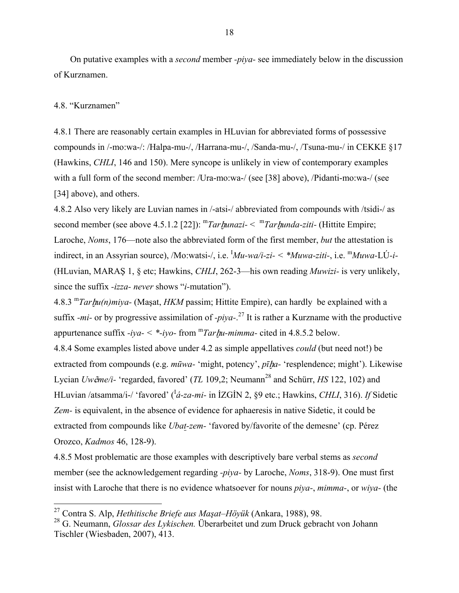On putative examples with a *second* member *-piya-* see immediately below in the discussion of Kurznamen.

#### 4.8. "Kurznamen"

 $\overline{a}$ 

4.8.1 There are reasonably certain examples in HLuvian for abbreviated forms of possessive compounds in /-mo:wa-/: /Halpa-mu-/, /Harrana-mu-/, /Sanda-mu-/, /Tsuna-mu-/ in CEKKE §17 (Hawkins, *CHLI*, 146 and 150). Mere syncope is unlikely in view of contemporary examples with a full form of the second member: /Ura-mo:wa-/ (see [38] above), /Pidanti-mo:wa-/ (see [34] above), and others.

4.8.2 Also very likely are Luvian names in /-atsi-/ abbreviated from compounds with /tsidi-/ as second member (see above 4.5.1.2 [22]): <sup>m</sup>*Tar*ḫ*unazi-* < <sup>m</sup>*Tar*ḫ*unda-ziti-* (Hittite Empire; Laroche, *Noms*, 176—note also the abbreviated form of the first member, *but* the attestation is indirect, in an Assyrian source), /Mo:watsi-/, i.e. I *Mu-wa/i-zi- < \*Muwa-ziti-*, i.e. <sup>m</sup>*Muwa-*LÚ*-i-*  (HLuvian, MARAŞ 1, § etc; Hawkins, *CHLI*, 262-3—his own reading *Muwizi-* is very unlikely, since the suffix *-izza- never* shows "*i-*mutation").

4.8.3 <sup>m</sup>*Tar*ḫ*u(n)miya-* (Maşat, *HKM* passim; Hittite Empire), can hardly be explained with a suffix *-mi-* or by progressive assimilation of *-piya-*. 27 It is rather a Kurzname with the productive appurtenance suffix *-iya-*  $\langle$  \**-iyo-* from  $\frac{m}{\pi}$ *Tarbu-mimma-* cited in 4.8.5.2 below.

4.8.4 Some examples listed above under 4.2 as simple appellatives *could* (but need not!) be extracted from compounds (e.g. *mūwa-* 'might, potency', *pī*ḫ*a-* 'resplendence; might'). Likewise Lycian *Uwẽme/i-* 'regarded, favored' (*TL* 109,2; Neumann<sup>28</sup> and Schürr, *HS* 122, 102) and HLuvian /atsamma/i-/ 'favored' (I *á-za-mi-* in İZGİN 2, §9 etc.; Hawkins, *CHLI*, 316). *If* Sidetic *Zem-* is equivalent, in the absence of evidence for aphaeresis in native Sidetic, it could be extracted from compounds like *Ubat-zem-* 'favored by/favorite of the demesne' (cp. Pérez Orozco, *Kadmos* 46, 128-9).

4.8.5 Most problematic are those examples with descriptively bare verbal stems as *second*  member (see the acknowledgement regarding *-piya-* by Laroche, *Noms*, 318-9). One must first insist with Laroche that there is no evidence whatsoever for nouns *piya-*, *mimma-*, or *wiya-* (the

<sup>27</sup> Contra S. Alp, *Hethitische Briefe aus Maşat–Höyük* (Ankara, 1988), 98.

<sup>28</sup> G. Neumann, *Glossar des Lykischen.* Überarbeitet und zum Druck gebracht von Johann Tischler (Wiesbaden, 2007), 413.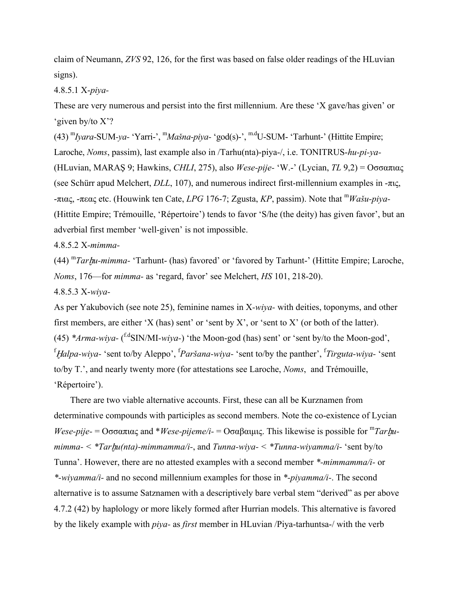claim of Neumann, *ZVS* 92, 126, for the first was based on false older readings of the HLuvian signs).

4.8.5.1 X-*piya-*

These are very numerous and persist into the first millennium. Are these 'X gave/has given' or 'given by/to X'?

(43) m*Iyara-*SUM*-ya-* 'Yarri-', m*Mašna-piya-* 'god(s)-', m.dU-SUM- 'Tarhunt-' (Hittite Empire; Laroche, *Noms*, passim), last example also in /Tarhu(nta)-piya-/, i.e. TONITRUS-*hu-pi-ya-* (HLuvian, MARAŞ 9; Hawkins, *CHLI*, 275), also *Wese-pije-* 'W.-' (Lycian, *TL* 9,2) = Οσσαπιας (see Schürr apud Melchert, *DLL*, 107), and numerous indirect first-millennium examples in -πις, -πιας, -πεας etc. (Houwink ten Cate, *LPG* 176-7; Zgusta, *KP*, passim). Note that <sup>m</sup>*Wašu-piya-*  (Hittite Empire; Trémouille, 'Répertoire') tends to favor 'S/he (the deity) has given favor', but an adverbial first member 'well-given' is not impossible.

4.8.5.2 X*-mimma-*

(44) <sup>m</sup>*Tar*ḫ*u-mimma-* 'Tarhunt- (has) favored' or 'favored by Tarhunt-' (Hittite Empire; Laroche, *Noms*, 176—for *mimma-* as 'regard, favor' see Melchert, *HS* 101, 218-20).

4.8.5.3 X-*wiya-*

As per Yakubovich (see note 25), feminine names in X*-wiya-* with deities, toponyms, and other first members, are either 'X (has) sent' or 'sent by X', or 'sent to X' (or both of the latter). (45) *\*Arma-wiya-* ( f.dSIN/MI*-wiya-*) 'the Moon-god (has) sent' or 'sent by/to the Moon-god', f Ḫ*alpa-wiya-* 'sent to/by Aleppo', f *Paršana-wiya-* 'sent to/by the panther', f *Tirguta-wiya-* 'sent to/by T.', and nearly twenty more (for attestations see Laroche, *Noms*, and Trémouille, 'Répertoire').

There are two viable alternative accounts. First, these can all be Kurznamen from determinative compounds with participles as second members. Note the co-existence of Lycian *Wese-pije-* = Οσσαπιας and \**Wese-pijeme/i-* = Οσαβαιμις. This likewise is possible for <sup>m</sup>Tarhu*mimma- < \*Tar*ḫ*u(nta)-mimmamma/i-*, and *Tunna-wiya- < \*Tunna-wiyamma/i-* 'sent by/to Tunna'. However, there are no attested examples with a second member *\*-mimmamma/i-* or *\*-wiyamma/i-* and no second millennium examples for those in *\*-piyamma/i-*. The second alternative is to assume Satznamen with a descriptively bare verbal stem "derived" as per above 4.7.2 (42) by haplology or more likely formed after Hurrian models. This alternative is favored by the likely example with *piya-* as *first* member in HLuvian /Piya-tarhuntsa-/ with the verb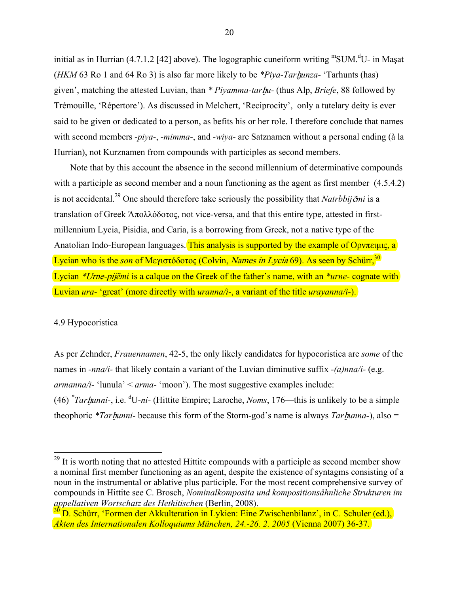initial as in Hurrian  $(4.7.1.2$  [42] above). The logographic cuneiform writing "SUM.<sup>d</sup>U- in Mașat (*HKM* 63 Ro 1 and 64 Ro 3) is also far more likely to be *\*Piya-Tar*ḫ*unza-* 'Tarhunts (has) given', matching the attested Luvian, than *\* Piyamma-tar*ḫ*u-* (thus Alp, *Briefe*, 88 followed by Trémouille, 'Répertore'). As discussed in Melchert, 'Reciprocity', only a tutelary deity is ever said to be given or dedicated to a person, as befits his or her role. I therefore conclude that names with second members *-piya-*, *-mimma-*, and *-wiya-* are Satznamen without a personal ending (à la Hurrian), not Kurznamen from compounds with participles as second members.

Note that by this account the absence in the second millennium of determinative compounds with a participle as second member and a noun functioning as the agent as first member  $(4.5.4.2)$ is not accidental.29 One should therefore take seriously the possibility that *Natrbbij*ẽ*mi* is a translation of Greek Ἀπολλόδοτος, not vice-versa, and that this entire type, attested in firstmillennium Lycia, Pisidia, and Caria, is a borrowing from Greek, not a native type of the Anatolian Indo-European languages. This analysis is supported by the example of Ορνπειμις, a Lycian who is the *son* of Μεγιστόδοτος (Colvin, *Names in Lycia* 69). As seen by Schürr,<sup>30</sup> Lycian \*Urne-pij*ẽmi* is a calque on the Greek of the father's name, with an *\*urne-* cognate with Luvian *ura-* 'great' (more directly with *uranna/i-*, a variant of the title *urayanna/i-*).

# 4.9 Hypocoristica

1

As per Zehnder, *Frauennamen*, 42-5, the only likely candidates for hypocoristica are *some* of the names in *-nna/i-* that likely contain a variant of the Luvian diminutive suffix *-(a)nna/i-* (e.g. *armanna/i-* 'lunula' < *arma-* 'moon'). The most suggestive examples include: (46) *\* Tar*ḫ*unni-*, i.e. d U-*ni-* (Hittite Empire; Laroche, *Noms*, 176—this is unlikely to be a simple theophoric *\*Tar*ḫ*unni-* because this form of the Storm-god's name is always *Tar*ḫ*unna-*), also =

 $29$  It is worth noting that no attested Hittite compounds with a participle as second member show a nominal first member functioning as an agent, despite the existence of syntagms consisting of a noun in the instrumental or ablative plus participle. For the most recent comprehensive survey of compounds in Hittite see C. Brosch, *Nominalkomposita und kompositionsähnliche Strukturen im appellativen Wortschatz des Hethitischen* (Berlin, 2008).

<sup>&</sup>lt;sup>2</sup>D. Schürr, 'Formen der Akkulteration in Lykien: Eine Zwischenbilanz', in C. Schuler (ed.), *Akten des Internationalen Kolloquiums München, 24.-26. 2. 2005* (Vienna 2007) 36-37.